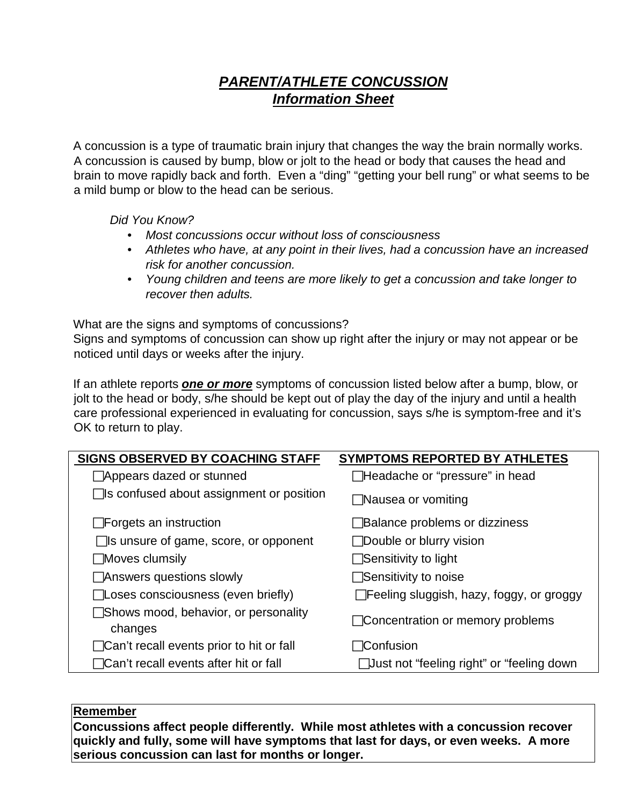# *PARENT/ATHLETE CONCUSSION Information Sheet*

A concussion is a type of traumatic brain injury that changes the way the brain normally works. A concussion is caused by bump, blow or jolt to the head or body that causes the head and brain to move rapidly back and forth. Even a "ding" "getting your bell rung" or what seems to be a mild bump or blow to the head can be serious.

*Did You Know?* 

- *Most concussions occur without loss of consciousness*
- *Athletes who have, at any point in their lives, had a concussion have an increased risk for another concussion.*
- *Young children and teens are more likely to get a concussion and take longer to recover then adults.*

What are the signs and symptoms of concussions?

Signs and symptoms of concussion can show up right after the injury or may not appear or be noticed until days or weeks after the injury.

If an athlete reports *one or more* symptoms of concussion listed below after a bump, blow, or jolt to the head or body, s/he should be kept out of play the day of the injury and until a health care professional experienced in evaluating for concussion, says s/he is symptom-free and it's OK to return to play.

| SIGNS OBSERVED BY COACHING STAFF                 | <b>SYMPTOMS REPORTED BY ATHLETES</b>       |
|--------------------------------------------------|--------------------------------------------|
| $\Box$ Appears dazed or stunned                  | □Headache or "pressure" in head            |
| $\Box$ Is confused about assignment or position  | ◯Nausea or vomiting                        |
| $\Box$ Forgets an instruction                    | □ Balance problems or dizziness            |
| $\Box$ is unsure of game, score, or opponent     | $\Box$ Double or blurry vision             |
| $\Box$ Moves clumsily                            | $\Box$ Sensitivity to light                |
| □ Answers questions slowly                       | ◯Sensitivity to noise                      |
| $\Box$ Loses consciousness (even briefly)        | □ Feeling sluggish, hazy, foggy, or groggy |
| □Shows mood, behavior, or personality<br>changes | □ Concentration or memory problems         |
| $\Box$ Can't recall events prior to hit or fall  | $\sqsupset$ Confusion                      |
| □ Can't recall events after hit or fall          | □Just not "feeling right" or "feeling down |

### **Remember**

**Concussions affect people differently. While most athletes with a concussion recover quickly and fully, some will have symptoms that last for days, or even weeks. A more serious concussion can last for months or longer.**